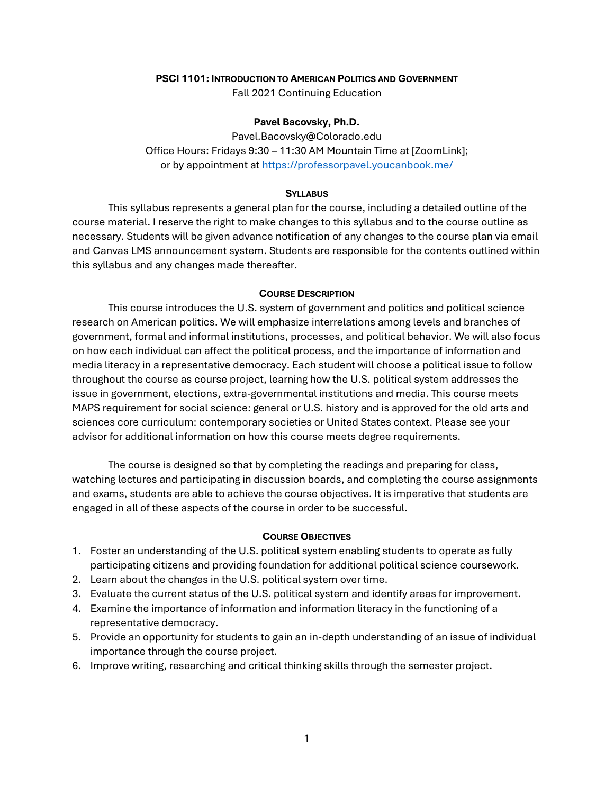### **PSCI 1101: INTRODUCTION TO AMERICAN POLITICS AND GOVERNMENT**

Fall 2021 Continuing Education

### **Pavel Bacovsky, Ph.D.**

Pavel.Bacovsky@Colorado.edu Office Hours: Fridays 9:30 – 11:30 AM Mountain Time at [ZoomLink]; or by appointment a[t https://professorpavel.youcanbook.me/](https://professorpavel.youcanbook.me/)

#### **SYLLABUS**

This syllabus represents a general plan for the course, including a detailed outline of the course material. I reserve the right to make changes to this syllabus and to the course outline as necessary. Students will be given advance notification of any changes to the course plan via email and Canvas LMS announcement system. Students are responsible for the contents outlined within this syllabus and any changes made thereafter.

#### **COURSE DESCRIPTION**

This course introduces the U.S. system of government and politics and political science research on American politics. We will emphasize interrelations among levels and branches of government, formal and informal institutions, processes, and political behavior. We will also focus on how each individual can affect the political process, and the importance of information and media literacy in a representative democracy. Each student will choose a political issue to follow throughout the course as course project, learning how the U.S. political system addresses the issue in government, elections, extra-governmental institutions and media. This course meets MAPS requirement for social science: general or U.S. history and is approved for the old arts and sciences core curriculum: contemporary societies or United States context. Please see your advisor for additional information on how this course meets degree requirements.

The course is designed so that by completing the readings and preparing for class, watching lectures and participating in discussion boards, and completing the course assignments and exams, students are able to achieve the course objectives. It is imperative that students are engaged in all of these aspects of the course in order to be successful.

#### **COURSE OBJECTIVES**

- 1. Foster an understanding of the U.S. political system enabling students to operate as fully participating citizens and providing foundation for additional political science coursework.
- 2. Learn about the changes in the U.S. political system over time.
- 3. Evaluate the current status of the U.S. political system and identify areas for improvement.
- 4. Examine the importance of information and information literacy in the functioning of a representative democracy.
- 5. Provide an opportunity for students to gain an in-depth understanding of an issue of individual importance through the course project.
- 6. Improve writing, researching and critical thinking skills through the semester project.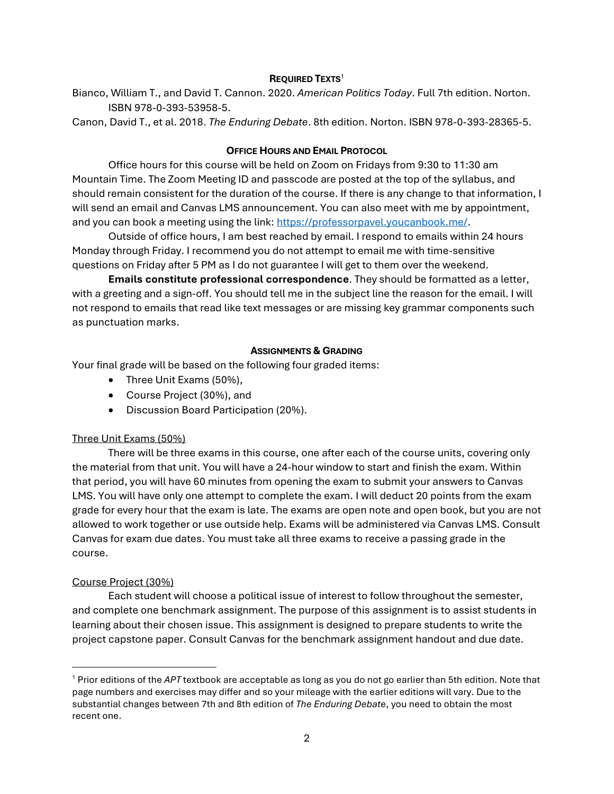### **REQUIRED TEXTS**<sup>1</sup>

Bianco, William T., and David T. Cannon. 2020. *American Politics Today*. Full 7th edition. Norton. ISBN 978-0-393-53958-5.

Canon, David T., et al. 2018. *The Enduring Debate*. 8th edition. Norton. ISBN 978-0-393-28365-5.

### **OFFICE HOURS AND EMAIL PROTOCOL**

Office hours for this course will be held on Zoom on Fridays from 9:30 to 11:30 am Mountain Time. The Zoom Meeting ID and passcode are posted at the top of the syllabus, and should remain consistent for the duration of the course. If there is any change to that information, I will send an email and Canvas LMS announcement. You can also meet with me by appointment, and you can book a meeting using the link: [https://professorpavel.youcanbook.me/.](https://professorpavel.youcanbook.me/)

Outside of office hours, I am best reached by email. I respond to emails within 24 hours Monday through Friday. I recommend you do not attempt to email me with time-sensitive questions on Friday after 5 PM as I do not guarantee I will get to them over the weekend.

**Emails constitute professional correspondence**. They should be formatted as a letter, with a greeting and a sign-off. You should tell me in the subject line the reason for the email. I will not respond to emails that read like text messages or are missing key grammar components such as punctuation marks.

### **ASSIGNMENTS & GRADING**

Your final grade will be based on the following four graded items:

- Three Unit Exams (50%),
- Course Project (30%), and
- Discussion Board Participation (20%).

## Three Unit Exams (50%)

There will be three exams in this course, one after each of the course units, covering only the material from that unit. You will have a 24-hour window to start and finish the exam. Within that period, you will have 60 minutes from opening the exam to submit your answers to Canvas LMS. You will have only one attempt to complete the exam. I will deduct 20 points from the exam grade for every hour that the exam is late. The exams are open note and open book, but you are not allowed to work together or use outside help. Exams will be administered via Canvas LMS. Consult Canvas for exam due dates. You must take all three exams to receive a passing grade in the course.

## Course Project (30%)

Each student will choose a political issue of interest to follow throughout the semester, and complete one benchmark assignment. The purpose of this assignment is to assist students in learning about their chosen issue. This assignment is designed to prepare students to write the project capstone paper. Consult Canvas for the benchmark assignment handout and due date.

<sup>1</sup> Prior editions of the *APT* textbook are acceptable as long as you do not go earlier than 5th edition. Note that page numbers and exercises may differ and so your mileage with the earlier editions will vary. Due to the substantial changes between 7th and 8th edition of *The Enduring Debate*, you need to obtain the most recent one.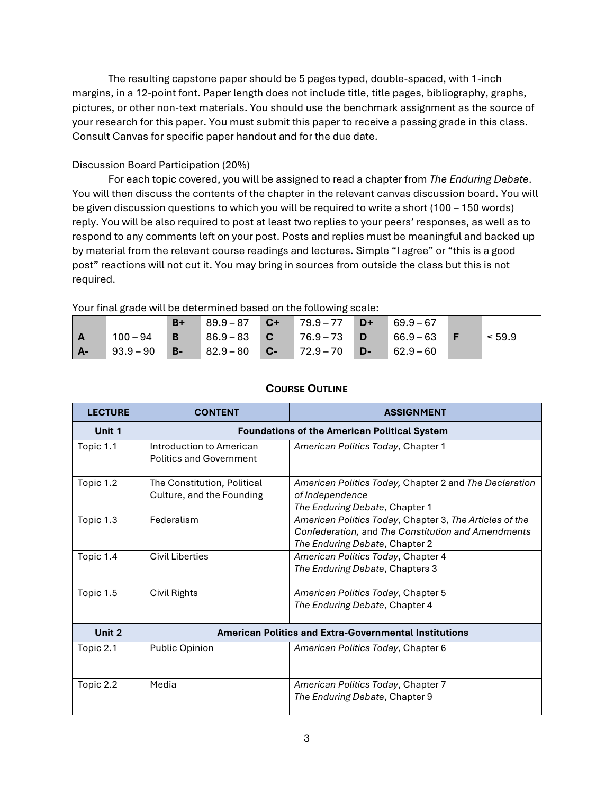The resulting capstone paper should be 5 pages typed, double-spaced, with 1-inch margins, in a 12-point font. Paper length does not include title, title pages, bibliography, graphs, pictures, or other non-text materials. You should use the benchmark assignment as the source of your research for this paper. You must submit this paper to receive a passing grade in this class. Consult Canvas for specific paper handout and for the due date.

# Discussion Board Participation (20%)

For each topic covered, you will be assigned to read a chapter from *The Enduring Debate*. You will then discuss the contents of the chapter in the relevant canvas discussion board. You will be given discussion questions to which you will be required to write a short (100 – 150 words) reply. You will be also required to post at least two replies to your peers' responses, as well as to respond to any comments left on your post. Posts and replies must be meaningful and backed up by material from the relevant course readings and lectures. Simple "I agree" or "this is a good post" reactions will not cut it. You may bring in sources from outside the class but this is not required.

|  |  | Your final grade will be determined based on the following scale: |
|--|--|-------------------------------------------------------------------|
|  |  |                                                                   |
|  |  |                                                                   |

|       |             | $B+$      | $89.9 - 87$ | $C+$      | $ 79.9 - 77$ | $D+$ | $69.9 - 67$ |        |
|-------|-------------|-----------|-------------|-----------|--------------|------|-------------|--------|
| l A   | $100 - 94$  | B         | $86.9 - 83$ | <b>C</b>  | 76.9-73      | D    | $66.9 - 63$ | < 59.9 |
| $A -$ | $93.9 - 90$ | <b>B-</b> | $82.9 - 80$ | <b>C-</b> | $72.9 - 70$  | D-   | $62.9 - 60$ |        |

| <b>LECTURE</b> | <b>CONTENT</b>                                               | <b>ASSIGNMENT</b>                                                                                                                               |  |
|----------------|--------------------------------------------------------------|-------------------------------------------------------------------------------------------------------------------------------------------------|--|
| Unit 1         | <b>Foundations of the American Political System</b>          |                                                                                                                                                 |  |
| Topic 1.1      | Introduction to American<br><b>Politics and Government</b>   | American Politics Today, Chapter 1                                                                                                              |  |
| Topic 1.2      | The Constitution, Political<br>Culture, and the Founding     | American Politics Today, Chapter 2 and The Declaration<br>of Independence<br>The Enduring Debate, Chapter 1                                     |  |
| Topic 1.3      | Federalism                                                   | American Politics Today, Chapter 3, The Articles of the<br>Confederation, and The Constitution and Amendments<br>The Enduring Debate, Chapter 2 |  |
| Topic 1.4      | <b>Civil Liberties</b>                                       | American Politics Today, Chapter 4<br>The Enduring Debate, Chapters 3                                                                           |  |
| Topic 1.5      | Civil Rights                                                 | American Politics Today, Chapter 5<br>The Enduring Debate, Chapter 4                                                                            |  |
| Unit 2         | <b>American Politics and Extra-Governmental Institutions</b> |                                                                                                                                                 |  |
| Topic 2.1      | <b>Public Opinion</b>                                        | American Politics Today, Chapter 6                                                                                                              |  |
| Topic 2.2      | Media                                                        | American Politics Today, Chapter 7<br>The Enduring Debate, Chapter 9                                                                            |  |

# **COURSE OUTLINE**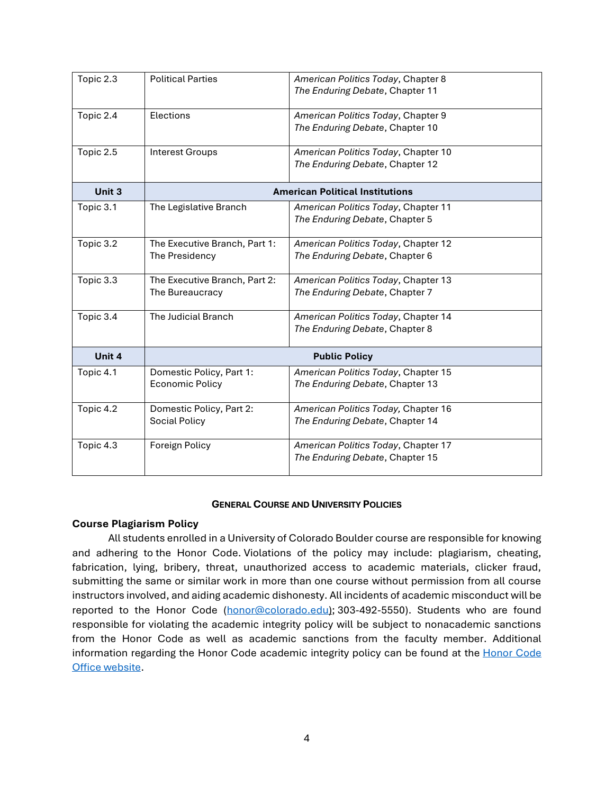| Topic 2.3                           | <b>Political Parties</b>                           | American Politics Today, Chapter 8<br>The Enduring Debate, Chapter 11  |  |
|-------------------------------------|----------------------------------------------------|------------------------------------------------------------------------|--|
| Topic 2.4                           | Elections                                          | American Politics Today, Chapter 9<br>The Enduring Debate, Chapter 10  |  |
| Topic 2.5<br><b>Interest Groups</b> |                                                    | American Politics Today, Chapter 10<br>The Enduring Debate, Chapter 12 |  |
| Unit 3                              | <b>American Political Institutions</b>             |                                                                        |  |
| Topic 3.1                           | The Legislative Branch                             | American Politics Today, Chapter 11<br>The Enduring Debate, Chapter 5  |  |
| Topic 3.2                           | The Executive Branch, Part 1:<br>The Presidency    | American Politics Today, Chapter 12<br>The Enduring Debate, Chapter 6  |  |
| Topic 3.3                           | The Executive Branch, Part 2:<br>The Bureaucracy   | American Politics Today, Chapter 13<br>The Enduring Debate, Chapter 7  |  |
| Topic 3.4                           | The Judicial Branch                                | American Politics Today, Chapter 14<br>The Enduring Debate, Chapter 8  |  |
| Unit 4                              | <b>Public Policy</b>                               |                                                                        |  |
| Topic 4.1                           | Domestic Policy, Part 1:<br><b>Economic Policy</b> | American Politics Today, Chapter 15<br>The Enduring Debate, Chapter 13 |  |
| Topic 4.2                           | Domestic Policy, Part 2:<br>Social Policy          | American Politics Today, Chapter 16<br>The Enduring Debate, Chapter 14 |  |
| Topic 4.3                           | Foreign Policy                                     | American Politics Today, Chapter 17<br>The Enduring Debate, Chapter 15 |  |

### **GENERAL COURSE AND UNIVERSITY POLICIES**

### **Course Plagiarism Policy**

All students enrolled in a University of Colorado Boulder course are responsible for knowing and adhering to the Honor Code. Violations of the policy may include: plagiarism, cheating, fabrication, lying, bribery, threat, unauthorized access to academic materials, clicker fraud, submitting the same or similar work in more than one course without permission from all course instructors involved, and aiding academic dishonesty. All incidents of academic misconduct will be reported to the Honor Code [\(honor@colorado.edu\)](mailto:honor@colorado.edu); 303-492-5550). Students who are found responsible for violating the academic integrity policy will be subject to nonacademic sanctions from the Honor Code as well as academic sanctions from the faculty member. Additional information regarding the [Honor Code](https://www.colorado.edu/osccr/honor-code) academic integrity policy can be found at the Honor Code [Office website.](https://www.colorado.edu/osccr/honor-code)